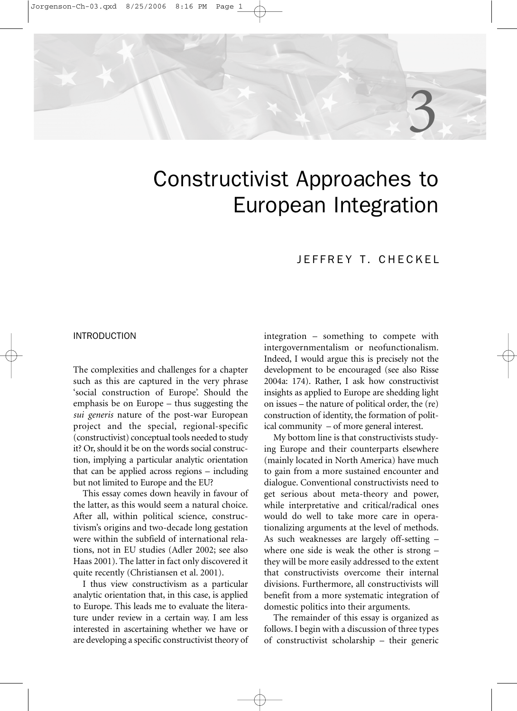# Constructivist Approaches to European Integration

# JEFFREY T. CHECKEL

3

# INTRODUCTION

The complexities and challenges for a chapter such as this are captured in the very phrase 'social construction of Europe'. Should the emphasis be on Europe – thus suggesting the *sui generis* nature of the post-war European project and the special, regional-specific (constructivist) conceptual tools needed to study it? Or, should it be on the words social construction, implying a particular analytic orientation that can be applied across regions – including but not limited to Europe and the EU?

This essay comes down heavily in favour of the latter, as this would seem a natural choice. After all, within political science, constructivism's origins and two-decade long gestation were within the subfield of international relations, not in EU studies (Adler 2002; see also Haas 2001). The latter in fact only discovered it quite recently (Christiansen et al. 2001).

I thus view constructivism as a particular analytic orientation that, in this case, is applied to Europe. This leads me to evaluate the literature under review in a certain way. I am less interested in ascertaining whether we have or are developing a specific constructivist theory of

integration – something to compete with intergovernmentalism or neofunctionalism. Indeed, I would argue this is precisely not the development to be encouraged (see also Risse 2004a: 174). Rather, I ask how constructivist insights as applied to Europe are shedding light on issues – the nature of political order, the (re) construction of identity, the formation of political community – of more general interest.

My bottom line is that constructivists studying Europe and their counterparts elsewhere (mainly located in North America) have much to gain from a more sustained encounter and dialogue. Conventional constructivists need to get serious about meta-theory and power, while interpretative and critical/radical ones would do well to take more care in operationalizing arguments at the level of methods. As such weaknesses are largely off-setting – where one side is weak the other is strong – they will be more easily addressed to the extent that constructivists overcome their internal divisions. Furthermore, all constructivists will benefit from a more systematic integration of domestic politics into their arguments.

The remainder of this essay is organized as follows. I begin with a discussion of three types of constructivist scholarship – their generic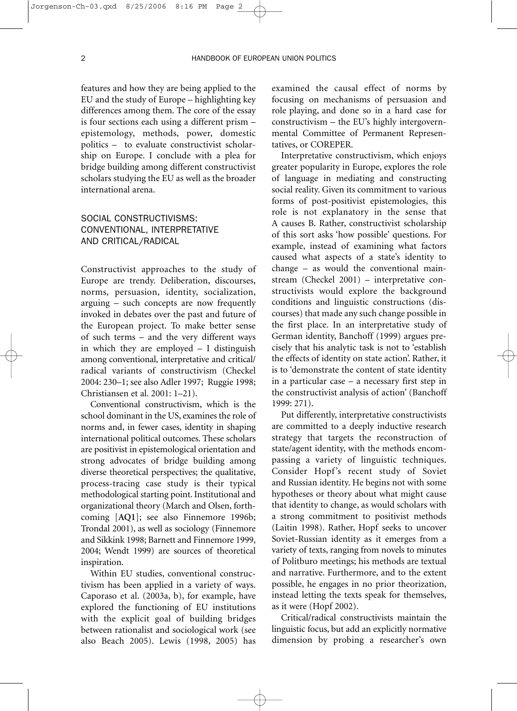features and how they are being applied to the EU and the study of Europe – highlighting key differences among them. The core of the essay is four sections each using a different prism – epistemology, methods, power, domestic politics – to evaluate constructivist scholarship on Europe. I conclude with a plea for bridge building among different constructivist scholars studying the EU as well as the broader international arena.

# SOCIAL CONSTRUCTIVISMS: CONVENTIONAL, INTERPRETATIVE AND CRITICAL/RADICAL

Constructivist approaches to the study of Europe are trendy. Deliberation, discourses, norms, persuasion, identity, socialization, arguing – such concepts are now frequently invoked in debates over the past and future of the European project. To make better sense of such terms – and the very different ways in which they are employed – I distinguish among conventional, interpretative and critical/ radical variants of constructivism (Checkel 2004: 230–1; see also Adler 1997; Ruggie 1998; Christiansen et al. 2001: 1–21).

Conventional constructivism, which is the school dominant in the US, examines the role of norms and, in fewer cases, identity in shaping international political outcomes. These scholars are positivist in epistemological orientation and strong advocates of bridge building among diverse theoretical perspectives; the qualitative, process-tracing case study is their typical methodological starting point. Institutional and organizational theory (March and Olsen, forthcoming [**AQ1**]; see also Finnemore 1996b; Trondal 2001), as well as sociology (Finnemore and Sikkink 1998; Barnett and Finnemore 1999, 2004; Wendt 1999) are sources of theoretical inspiration.

Within EU studies, conventional constructivism has been applied in a variety of ways. Caporaso et al. (2003a, b), for example, have explored the functioning of EU institutions with the explicit goal of building bridges between rationalist and sociological work (see also Beach 2005). Lewis (1998, 2005) has examined the causal effect of norms by focusing on mechanisms of persuasion and role playing, and done so in a hard case for constructivism – the EU's highly intergovernmental Committee of Permanent Representatives, or COREPER.

Interpretative constructivism, which enjoys greater popularity in Europe, explores the role of language in mediating and constructing social reality. Given its commitment to various forms of post-positivist epistemologies, this role is not explanatory in the sense that A causes B. Rather, constructivist scholarship of this sort asks 'how possible' questions. For example, instead of examining what factors caused what aspects of a state's identity to change – as would the conventional mainstream (Checkel 2001) – interpretative constructivists would explore the background conditions and linguistic constructions (discourses) that made any such change possible in the first place. In an interpretative study of German identity, Banchoff (1999) argues precisely that his analytic task is not to 'establish the effects of identity on state action'. Rather, it is to 'demonstrate the content of state identity in a particular case – a necessary first step in the constructivist analysis of action' (Banchoff 1999: 271).

Put differently, interpretative constructivists are committed to a deeply inductive research strategy that targets the reconstruction of state/agent identity, with the methods encompassing a variety of linguistic techniques. Consider Hopf's recent study of Soviet and Russian identity. He begins not with some hypotheses or theory about what might cause that identity to change, as would scholars with a strong commitment to positivist methods (Laitin 1998). Rather, Hopf seeks to uncover Soviet-Russian identity as it emerges from a variety of texts, ranging from novels to minutes of Politburo meetings; his methods are textual and narrative. Furthermore, and to the extent possible, he engages in no prior theorization, instead letting the texts speak for themselves, as it were (Hopf 2002).

Critical/radical constructivists maintain the linguistic focus, but add an explicitly normative dimension by probing a researcher's own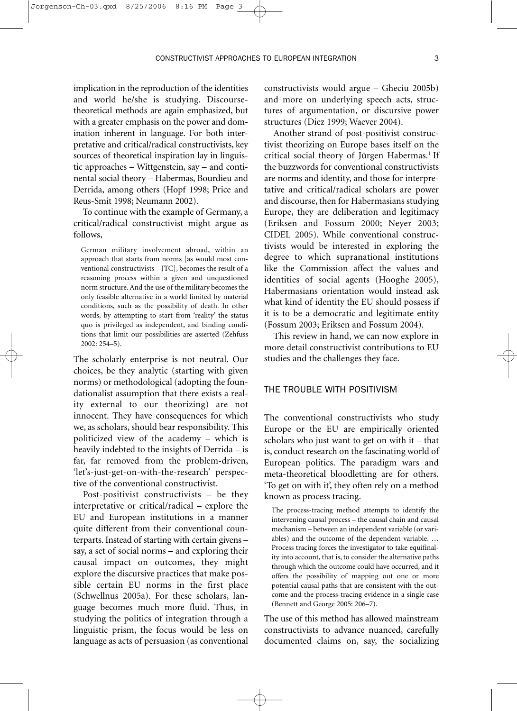implication in the reproduction of the identities and world he/she is studying. Discoursetheoretical methods are again emphasized, but with a greater emphasis on the power and domination inherent in language. For both interpretative and critical/radical constructivists, key sources of theoretical inspiration lay in linguistic approaches – Wittgenstein, say – and continental social theory – Habermas, Bourdieu and Derrida, among others (Hopf 1998; Price and Reus-Smit 1998; Neumann 2002).

To continue with the example of Germany, a critical/radical constructivist might argue as follows,

German military involvement abroad, within an approach that starts from norms [as would most conventional constructivists – JTC], becomes the result of a reasoning process within a given and unquestioned norm structure. And the use of the military becomes the only feasible alternative in a world limited by material conditions, such as the possibility of death. In other words, by attempting to start from 'reality' the status quo is privileged as independent, and binding conditions that limit our possibilities are asserted (Zehfuss 2002: 254–5).

The scholarly enterprise is not neutral. Our choices, be they analytic (starting with given norms) or methodological (adopting the foundationalist assumption that there exists a reality external to our theorizing) are not innocent. They have consequences for which we, as scholars, should bear responsibility. This politicized view of the academy – which is heavily indebted to the insights of Derrida – is far, far removed from the problem-driven, 'let's-just-get-on-with-the-research' perspective of the conventional constructivist.

Post-positivist constructivists – be they interpretative or critical/radical – explore the EU and European institutions in a manner quite different from their conventional counterparts. Instead of starting with certain givens – say, a set of social norms – and exploring their causal impact on outcomes, they might explore the discursive practices that make possible certain EU norms in the first place (Schwellnus 2005a). For these scholars, language becomes much more fluid. Thus, in studying the politics of integration through a linguistic prism, the focus would be less on language as acts of persuasion (as conventional constructivists would argue – Gheciu 2005b) and more on underlying speech acts, structures of argumentation, or discursive power structures (Diez 1999; Waever 2004).

Another strand of post-positivist constructivist theorizing on Europe bases itself on the critical social theory of Jürgen Habermas.<sup>1</sup> If the buzzwords for conventional constructivists are norms and identity, and those for interpretative and critical/radical scholars are power and discourse, then for Habermasians studying Europe, they are deliberation and legitimacy (Eriksen and Fossum 2000; Neyer 2003; CIDEL 2005). While conventional constructivists would be interested in exploring the degree to which supranational institutions like the Commission affect the values and identities of social agents (Hooghe 2005), Habermasians orientation would instead ask what kind of identity the EU should possess if it is to be a democratic and legitimate entity (Fossum 2003; Eriksen and Fossum 2004).

This review in hand, we can now explore in more detail constructivist contributions to EU studies and the challenges they face.

## THE TROUBLE WITH POSITIVISM

The conventional constructivists who study Europe or the EU are empirically oriented scholars who just want to get on with it – that is, conduct research on the fascinating world of European politics. The paradigm wars and meta-theoretical bloodletting are for others. 'To get on with it', they often rely on a method known as process tracing.

The process-tracing method attempts to identify the intervening causal process – the causal chain and causal mechanism – between an independent variable (or variables) and the outcome of the dependent variable. … Process tracing forces the investigator to take equifinality into account, that is, to consider the alternative paths through which the outcome could have occurred, and it offers the possibility of mapping out one or more potential causal paths that are consistent with the outcome and the process-tracing evidence in a single case (Bennett and George 2005: 206–7).

The use of this method has allowed mainstream constructivists to advance nuanced, carefully documented claims on, say, the socializing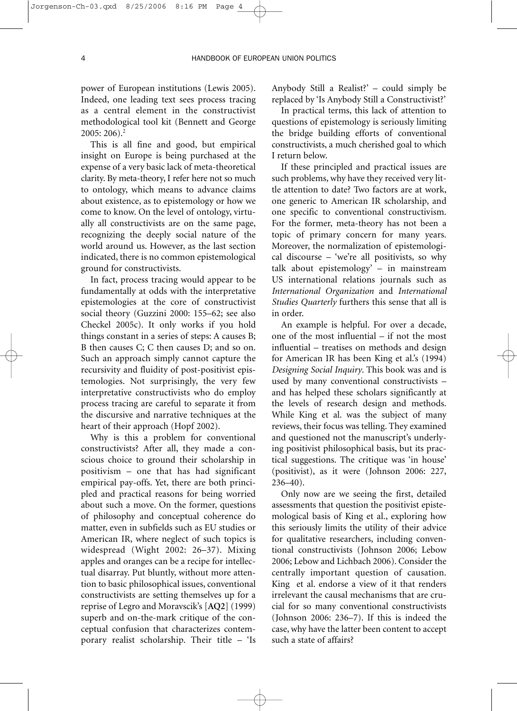power of European institutions (Lewis 2005). Indeed, one leading text sees process tracing as a central element in the constructivist methodological tool kit (Bennett and George 2005: 206).2

This is all fine and good, but empirical insight on Europe is being purchased at the expense of a very basic lack of meta-theoretical clarity. By meta-theory, I refer here not so much to ontology, which means to advance claims about existence, as to epistemology or how we come to know. On the level of ontology, virtually all constructivists are on the same page, recognizing the deeply social nature of the world around us. However, as the last section indicated, there is no common epistemological ground for constructivists.

In fact, process tracing would appear to be fundamentally at odds with the interpretative epistemologies at the core of constructivist social theory (Guzzini 2000: 155–62; see also Checkel 2005c). It only works if you hold things constant in a series of steps: A causes B; B then causes C; C then causes D; and so on. Such an approach simply cannot capture the recursivity and fluidity of post-positivist epistemologies. Not surprisingly, the very few interpretative constructivists who do employ process tracing are careful to separate it from the discursive and narrative techniques at the heart of their approach (Hopf 2002).

Why is this a problem for conventional constructivists? After all, they made a conscious choice to ground their scholarship in positivism – one that has had significant empirical pay-offs. Yet, there are both principled and practical reasons for being worried about such a move. On the former, questions of philosophy and conceptual coherence do matter, even in subfields such as EU studies or American IR, where neglect of such topics is widespread (Wight 2002: 26–37). Mixing apples and oranges can be a recipe for intellectual disarray. Put bluntly, without more attention to basic philosophical issues, conventional constructivists are setting themselves up for a reprise of Legro and Moravscik's [**AQ2**] (1999) superb and on-the-mark critique of the conceptual confusion that characterizes contemporary realist scholarship. Their title – 'Is Anybody Still a Realist?' – could simply be replaced by 'Is Anybody Still a Constructivist?'

In practical terms, this lack of attention to questions of epistemology is seriously limiting the bridge building efforts of conventional constructivists, a much cherished goal to which I return below.

If these principled and practical issues are such problems, why have they received very little attention to date? Two factors are at work, one generic to American IR scholarship, and one specific to conventional constructivism. For the former, meta-theory has not been a topic of primary concern for many years. Moreover, the normalization of epistemological discourse – 'we're all positivists, so why talk about epistemology' – in mainstream US international relations journals such as *International Organization* and *International Studies Quarterly* furthers this sense that all is in order.

An example is helpful. For over a decade, one of the most influential – if not the most influential – treatises on methods and design for American IR has been King et al.'s (1994) *Designing Social Inquiry*. This book was and is used by many conventional constructivists – and has helped these scholars significantly at the levels of research design and methods. While King et al. was the subject of many reviews, their focus was telling. They examined and questioned not the manuscript's underlying positivist philosophical basis, but its practical suggestions. The critique was 'in house' (positivist), as it were (Johnson 2006: 227, 236–40).

Only now are we seeing the first, detailed assessments that question the positivist epistemological basis of King et al., exploring how this seriously limits the utility of their advice for qualitative researchers, including conventional constructivists (Johnson 2006; Lebow 2006; Lebow and Lichbach 2006). Consider the centrally important question of causation. King et al. endorse a view of it that renders irrelevant the causal mechanisms that are crucial for so many conventional constructivists (Johnson 2006: 236–7). If this is indeed the case, why have the latter been content to accept such a state of affairs?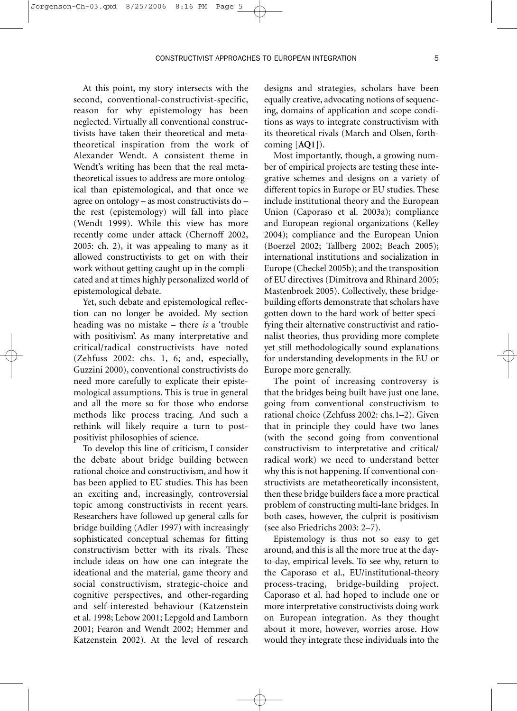At this point, my story intersects with the second, conventional-constructivist-specific, reason for why epistemology has been neglected. Virtually all conventional constructivists have taken their theoretical and metatheoretical inspiration from the work of Alexander Wendt. A consistent theme in Wendt's writing has been that the real metatheoretical issues to address are more ontological than epistemological, and that once we agree on ontology – as most constructivists do – the rest (epistemology) will fall into place (Wendt 1999). While this view has more recently come under attack (Chernoff 2002, 2005: ch. 2), it was appealing to many as it allowed constructivists to get on with their work without getting caught up in the complicated and at times highly personalized world of epistemological debate.

Jorgenson-Ch-03.qxd 8/25/2006

Yet, such debate and epistemological reflection can no longer be avoided. My section heading was no mistake – there *is* a 'trouble with positivism'. As many interpretative and critical/radical constructivists have noted (Zehfuss 2002: chs. 1, 6; and, especially, Guzzini 2000), conventional constructivists do need more carefully to explicate their epistemological assumptions. This is true in general and all the more so for those who endorse methods like process tracing. And such a rethink will likely require a turn to postpositivist philosophies of science.

To develop this line of criticism, I consider the debate about bridge building between rational choice and constructivism, and how it has been applied to EU studies. This has been an exciting and, increasingly, controversial topic among constructivists in recent years. Researchers have followed up general calls for bridge building (Adler 1997) with increasingly sophisticated conceptual schemas for fitting constructivism better with its rivals. These include ideas on how one can integrate the ideational and the material, game theory and social constructivism, strategic-choice and cognitive perspectives, and other-regarding and self-interested behaviour (Katzenstein et al. 1998; Lebow 2001; Lepgold and Lamborn 2001; Fearon and Wendt 2002; Hemmer and Katzenstein 2002). At the level of research designs and strategies, scholars have been equally creative, advocating notions of sequencing, domains of application and scope conditions as ways to integrate constructivism with its theoretical rivals (March and Olsen, forthcoming [**AQ1**]).

Most importantly, though, a growing number of empirical projects are testing these integrative schemes and designs on a variety of different topics in Europe or EU studies. These include institutional theory and the European Union (Caporaso et al. 2003a); compliance and European regional organizations (Kelley 2004); compliance and the European Union (Boerzel 2002; Tallberg 2002; Beach 2005); international institutions and socialization in Europe (Checkel 2005b); and the transposition of EU directives (Dimitrova and Rhinard 2005; Mastenbroek 2005). Collectively, these bridgebuilding efforts demonstrate that scholars have gotten down to the hard work of better specifying their alternative constructivist and rationalist theories, thus providing more complete yet still methodologically sound explanations for understanding developments in the EU or Europe more generally.

The point of increasing controversy is that the bridges being built have just one lane, going from conventional constructivism to rational choice (Zehfuss 2002: chs.1–2). Given that in principle they could have two lanes (with the second going from conventional constructivism to interpretative and critical/ radical work) we need to understand better why this is not happening. If conventional constructivists are metatheoretically inconsistent, then these bridge builders face a more practical problem of constructing multi-lane bridges. In both cases, however, the culprit is positivism (see also Friedrichs 2003: 2–7).

Epistemology is thus not so easy to get around, and this is all the more true at the dayto-day, empirical levels. To see why, return to the Caporaso et al., EU/institutional-theory process-tracing, bridge-building project. Caporaso et al. had hoped to include one or more interpretative constructivists doing work on European integration. As they thought about it more, however, worries arose. How would they integrate these individuals into the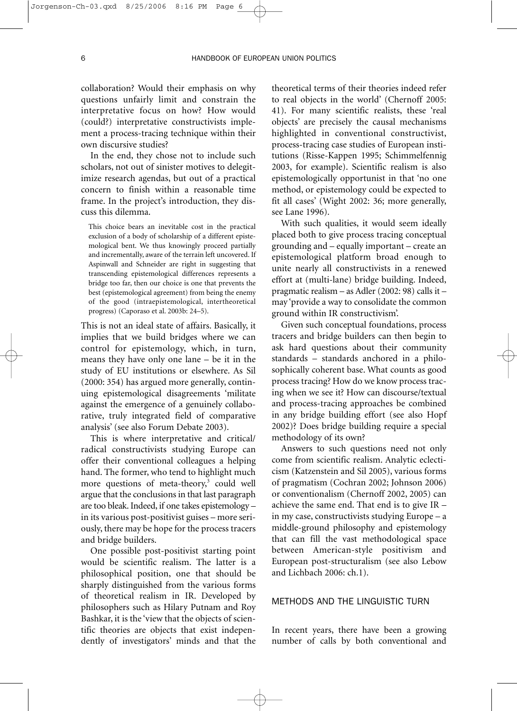collaboration? Would their emphasis on why questions unfairly limit and constrain the interpretative focus on how? How would (could?) interpretative constructivists implement a process-tracing technique within their own discursive studies?

In the end, they chose not to include such scholars, not out of sinister motives to delegitimize research agendas, but out of a practical concern to finish within a reasonable time frame. In the project's introduction, they discuss this dilemma.

This choice bears an inevitable cost in the practical exclusion of a body of scholarship of a different epistemological bent. We thus knowingly proceed partially and incrementally, aware of the terrain left uncovered. If Aspinwall and Schneider are right in suggesting that transcending epistemological differences represents a bridge too far, then our choice is one that prevents the best (epistemological agreement) from being the enemy of the good (intraepistemological, intertheoretical progress) (Caporaso et al. 2003b: 24–5).

This is not an ideal state of affairs. Basically, it implies that we build bridges where we can control for epistemology, which, in turn, means they have only one lane – be it in the study of EU institutions or elsewhere. As Sil (2000: 354) has argued more generally, continuing epistemological disagreements 'militate against the emergence of a genuinely collaborative, truly integrated field of comparative analysis' (see also Forum Debate 2003).

This is where interpretative and critical/ radical constructivists studying Europe can offer their conventional colleagues a helping hand. The former, who tend to highlight much more questions of meta-theory,<sup>3</sup> could well argue that the conclusions in that last paragraph are too bleak. Indeed, if one takes epistemology – in its various post-positivist guises – more seriously, there may be hope for the process tracers and bridge builders.

One possible post-positivist starting point would be scientific realism. The latter is a philosophical position, one that should be sharply distinguished from the various forms of theoretical realism in IR. Developed by philosophers such as Hilary Putnam and Roy Bashkar, it is the 'view that the objects of scientific theories are objects that exist independently of investigators' minds and that the theoretical terms of their theories indeed refer to real objects in the world' (Chernoff 2005: 41). For many scientific realists, these 'real objects' are precisely the causal mechanisms highlighted in conventional constructivist, process-tracing case studies of European institutions (Risse-Kappen 1995; Schimmelfennig 2003, for example). Scientific realism is also epistemologically opportunist in that 'no one method, or epistemology could be expected to fit all cases' (Wight 2002: 36; more generally, see Lane 1996).

With such qualities, it would seem ideally placed both to give process tracing conceptual grounding and – equally important – create an epistemological platform broad enough to unite nearly all constructivists in a renewed effort at (multi-lane) bridge building. Indeed, pragmatic realism – as Adler (2002: 98) calls it – may 'provide a way to consolidate the common ground within IR constructivism'.

Given such conceptual foundations, process tracers and bridge builders can then begin to ask hard questions about their community standards – standards anchored in a philosophically coherent base. What counts as good process tracing? How do we know process tracing when we see it? How can discourse/textual and process-tracing approaches be combined in any bridge building effort (see also Hopf 2002)? Does bridge building require a special methodology of its own?

Answers to such questions need not only come from scientific realism. Analytic eclecticism (Katzenstein and Sil 2005), various forms of pragmatism (Cochran 2002; Johnson 2006) or conventionalism (Chernoff 2002, 2005) can achieve the same end. That end is to give IR – in my case, constructivists studying Europe – a middle-ground philosophy and epistemology that can fill the vast methodological space between American-style positivism and European post-structuralism (see also Lebow and Lichbach 2006: ch.1).

# METHODS AND THE LINGUISTIC TURN

In recent years, there have been a growing number of calls by both conventional and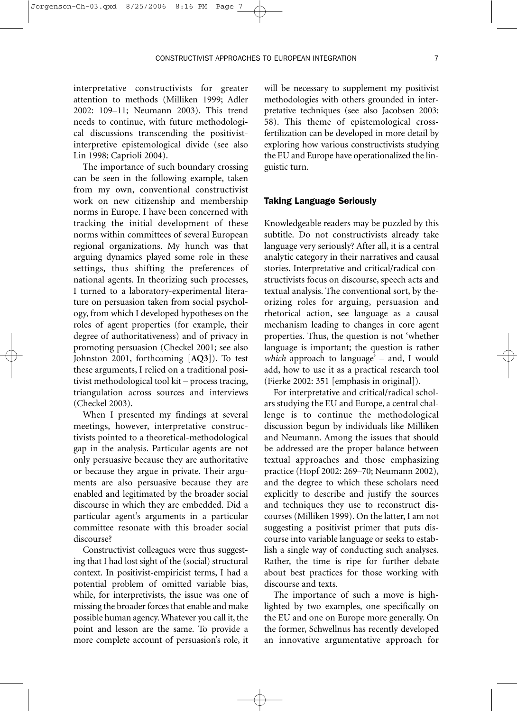interpretative constructivists for greater attention to methods (Milliken 1999; Adler 2002: 109–11; Neumann 2003). This trend needs to continue, with future methodological discussions transcending the positivistinterpretive epistemological divide (see also Lin 1998; Caprioli 2004).

The importance of such boundary crossing can be seen in the following example, taken from my own, conventional constructivist work on new citizenship and membership norms in Europe. I have been concerned with tracking the initial development of these norms within committees of several European regional organizations. My hunch was that arguing dynamics played some role in these settings, thus shifting the preferences of national agents. In theorizing such processes, I turned to a laboratory-experimental literature on persuasion taken from social psychology, from which I developed hypotheses on the roles of agent properties (for example, their degree of authoritativeness) and of privacy in promoting persuasion (Checkel 2001; see also Johnston 2001, forthcoming [**AQ3**]). To test these arguments, I relied on a traditional positivist methodological tool kit – process tracing, triangulation across sources and interviews (Checkel 2003).

When I presented my findings at several meetings, however, interpretative constructivists pointed to a theoretical-methodological gap in the analysis. Particular agents are not only persuasive because they are authoritative or because they argue in private. Their arguments are also persuasive because they are enabled and legitimated by the broader social discourse in which they are embedded. Did a particular agent's arguments in a particular committee resonate with this broader social discourse?

Constructivist colleagues were thus suggesting that I had lost sight of the (social) structural context. In positivist-empiricist terms, I had a potential problem of omitted variable bias, while, for interpretivists, the issue was one of missing the broader forces that enable and make possible human agency. Whatever you call it, the point and lesson are the same. To provide a more complete account of persuasion's role, it will be necessary to supplement my positivist methodologies with others grounded in interpretative techniques (see also Jacobsen 2003: 58). This theme of epistemological crossfertilization can be developed in more detail by exploring how various constructivists studying the EU and Europe have operationalized the linguistic turn.

#### Taking Language Seriously

Knowledgeable readers may be puzzled by this subtitle. Do not constructivists already take language very seriously? After all, it is a central analytic category in their narratives and causal stories. Interpretative and critical/radical constructivists focus on discourse, speech acts and textual analysis. The conventional sort, by theorizing roles for arguing, persuasion and rhetorical action, see language as a causal mechanism leading to changes in core agent properties. Thus, the question is not 'whether language is important; the question is rather *which* approach to language' – and, I would add, how to use it as a practical research tool (Fierke 2002: 351 [emphasis in original]).

For interpretative and critical/radical scholars studying the EU and Europe, a central challenge is to continue the methodological discussion begun by individuals like Milliken and Neumann. Among the issues that should be addressed are the proper balance between textual approaches and those emphasizing practice (Hopf 2002: 269–70; Neumann 2002), and the degree to which these scholars need explicitly to describe and justify the sources and techniques they use to reconstruct discourses (Milliken 1999). On the latter, I am not suggesting a positivist primer that puts discourse into variable language or seeks to establish a single way of conducting such analyses. Rather, the time is ripe for further debate about best practices for those working with discourse and texts.

The importance of such a move is highlighted by two examples, one specifically on the EU and one on Europe more generally. On the former, Schwellnus has recently developed an innovative argumentative approach for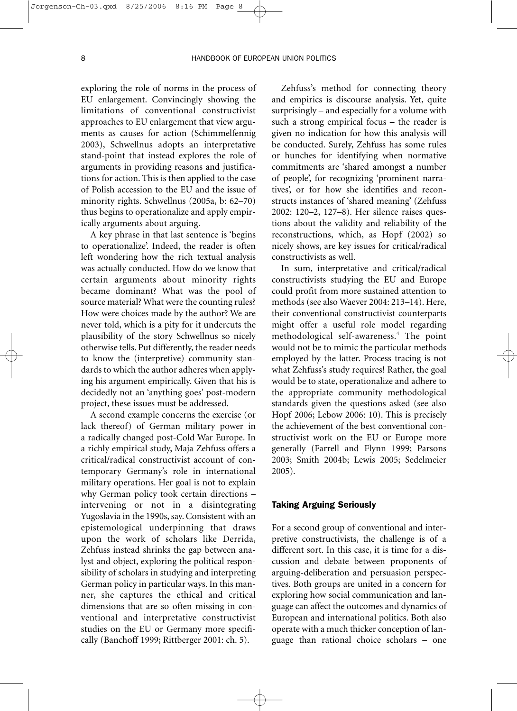exploring the role of norms in the process of EU enlargement. Convincingly showing the limitations of conventional constructivist approaches to EU enlargement that view arguments as causes for action (Schimmelfennig 2003), Schwellnus adopts an interpretative stand-point that instead explores the role of arguments in providing reasons and justifications for action. This is then applied to the case of Polish accession to the EU and the issue of minority rights. Schwellnus (2005a, b: 62–70) thus begins to operationalize and apply empirically arguments about arguing.

A key phrase in that last sentence is 'begins to operationalize'. Indeed, the reader is often left wondering how the rich textual analysis was actually conducted. How do we know that certain arguments about minority rights became dominant? What was the pool of source material? What were the counting rules? How were choices made by the author? We are never told, which is a pity for it undercuts the plausibility of the story Schwellnus so nicely otherwise tells. Put differently, the reader needs to know the (interpretive) community standards to which the author adheres when applying his argument empirically. Given that his is decidedly not an 'anything goes' post-modern project, these issues must be addressed.

A second example concerns the exercise (or lack thereof) of German military power in a radically changed post-Cold War Europe. In a richly empirical study, Maja Zehfuss offers a critical/radical constructivist account of contemporary Germany's role in international military operations. Her goal is not to explain why German policy took certain directions – intervening or not in a disintegrating Yugoslavia in the 1990s, say. Consistent with an epistemological underpinning that draws upon the work of scholars like Derrida, Zehfuss instead shrinks the gap between analyst and object, exploring the political responsibility of scholars in studying and interpreting German policy in particular ways. In this manner, she captures the ethical and critical dimensions that are so often missing in conventional and interpretative constructivist studies on the EU or Germany more specifically (Banchoff 1999; Rittberger 2001: ch. 5).

Zehfuss's method for connecting theory and empirics is discourse analysis. Yet, quite surprisingly – and especially for a volume with such a strong empirical focus – the reader is given no indication for how this analysis will be conducted. Surely, Zehfuss has some rules or hunches for identifying when normative commitments are 'shared amongst a number of people', for recognizing 'prominent narratives', or for how she identifies and reconstructs instances of 'shared meaning' (Zehfuss 2002: 120–2, 127–8). Her silence raises questions about the validity and reliability of the reconstructions, which, as Hopf (2002) so nicely shows, are key issues for critical/radical constructivists as well.

In sum, interpretative and critical/radical constructivists studying the EU and Europe could profit from more sustained attention to methods (see also Waever 2004: 213–14). Here, their conventional constructivist counterparts might offer a useful role model regarding methodological self-awareness.4 The point would not be to mimic the particular methods employed by the latter. Process tracing is not what Zehfuss's study requires! Rather, the goal would be to state, operationalize and adhere to the appropriate community methodological standards given the questions asked (see also Hopf 2006; Lebow 2006: 10). This is precisely the achievement of the best conventional constructivist work on the EU or Europe more generally (Farrell and Flynn 1999; Parsons 2003; Smith 2004b; Lewis 2005; Sedelmeier 2005).

#### Taking Arguing Seriously

For a second group of conventional and interpretive constructivists, the challenge is of a different sort. In this case, it is time for a discussion and debate between proponents of arguing-deliberation and persuasion perspectives. Both groups are united in a concern for exploring how social communication and language can affect the outcomes and dynamics of European and international politics. Both also operate with a much thicker conception of language than rational choice scholars – one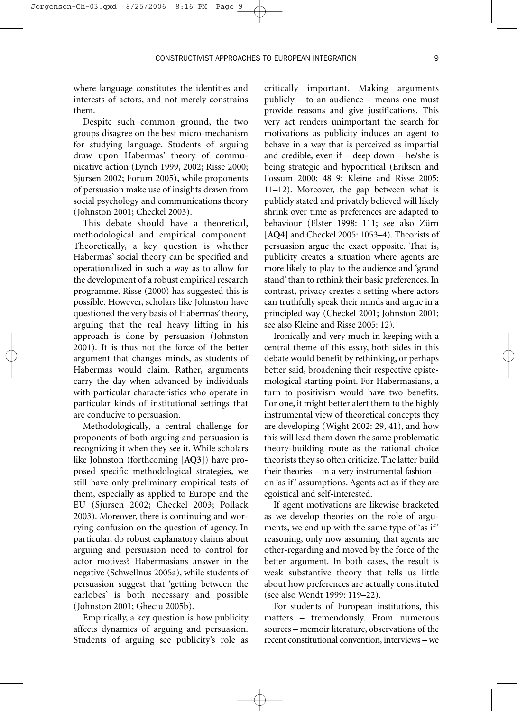where language constitutes the identities and interests of actors, and not merely constrains them.

Despite such common ground, the two groups disagree on the best micro-mechanism for studying language. Students of arguing draw upon Habermas' theory of communicative action (Lynch 1999, 2002; Risse 2000; Sjursen 2002; Forum 2005), while proponents of persuasion make use of insights drawn from social psychology and communications theory (Johnston 2001; Checkel 2003).

This debate should have a theoretical, methodological and empirical component. Theoretically, a key question is whether Habermas' social theory can be specified and operationalized in such a way as to allow for the development of a robust empirical research programme. Risse (2000) has suggested this is possible. However, scholars like Johnston have questioned the very basis of Habermas' theory, arguing that the real heavy lifting in his approach is done by persuasion (Johnston 2001). It is thus not the force of the better argument that changes minds, as students of Habermas would claim. Rather, arguments carry the day when advanced by individuals with particular characteristics who operate in particular kinds of institutional settings that are conducive to persuasion.

Methodologically, a central challenge for proponents of both arguing and persuasion is recognizing it when they see it. While scholars like Johnston (forthcoming [**AQ3**]) have proposed specific methodological strategies, we still have only preliminary empirical tests of them, especially as applied to Europe and the EU (Sjursen 2002; Checkel 2003; Pollack 2003). Moreover, there is continuing and worrying confusion on the question of agency. In particular, do robust explanatory claims about arguing and persuasion need to control for actor motives? Habermasians answer in the negative (Schwellnus 2005a), while students of persuasion suggest that 'getting between the earlobes' is both necessary and possible (Johnston 2001; Gheciu 2005b).

Empirically, a key question is how publicity affects dynamics of arguing and persuasion. Students of arguing see publicity's role as

critically important. Making arguments publicly – to an audience – means one must provide reasons and give justifications. This very act renders unimportant the search for motivations as publicity induces an agent to behave in a way that is perceived as impartial and credible, even if – deep down – he/she is being strategic and hypocritical (Eriksen and Fossum 2000: 48–9; Kleine and Risse 2005: 11–12). Moreover, the gap between what is publicly stated and privately believed will likely shrink over time as preferences are adapted to behaviour (Elster 1998: 111; see also Zürn [**AQ4**] and Checkel 2005: 1053–4). Theorists of persuasion argue the exact opposite. That is, publicity creates a situation where agents are more likely to play to the audience and 'grand stand' than to rethink their basic preferences. In contrast, privacy creates a setting where actors can truthfully speak their minds and argue in a principled way (Checkel 2001; Johnston 2001; see also Kleine and Risse 2005: 12).

Ironically and very much in keeping with a central theme of this essay, both sides in this debate would benefit by rethinking, or perhaps better said, broadening their respective epistemological starting point. For Habermasians, a turn to positivism would have two benefits. For one, it might better alert them to the highly instrumental view of theoretical concepts they are developing (Wight 2002: 29, 41), and how this will lead them down the same problematic theory-building route as the rational choice theorists they so often criticize. The latter build their theories – in a very instrumental fashion – on 'as if' assumptions. Agents act as if they are egoistical and self-interested.

If agent motivations are likewise bracketed as we develop theories on the role of arguments, we end up with the same type of 'as if' reasoning, only now assuming that agents are other-regarding and moved by the force of the better argument. In both cases, the result is weak substantive theory that tells us little about how preferences are actually constituted (see also Wendt 1999: 119–22).

For students of European institutions, this matters – tremendously. From numerous sources – memoir literature, observations of the recent constitutional convention, interviews – we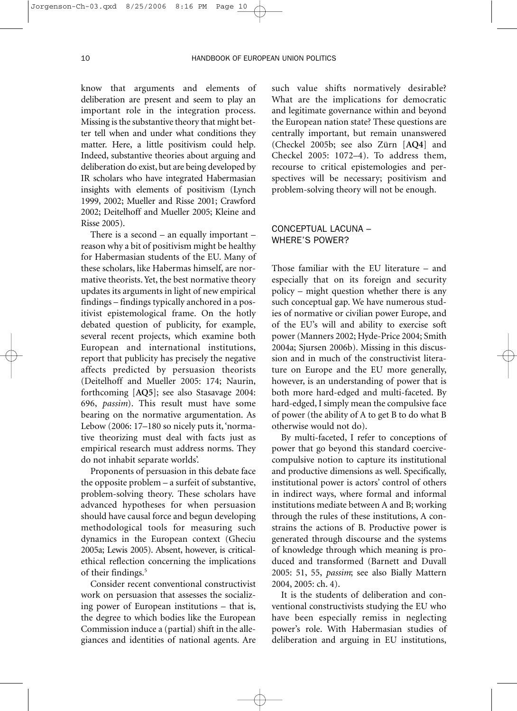know that arguments and elements of deliberation are present and seem to play an important role in the integration process. Missing is the substantive theory that might better tell when and under what conditions they matter. Here, a little positivism could help. Indeed, substantive theories about arguing and deliberation do exist, but are being developed by IR scholars who have integrated Habermasian insights with elements of positivism (Lynch 1999, 2002; Mueller and Risse 2001; Crawford 2002; Deitelhoff and Mueller 2005; Kleine and Risse 2005).

There is a second – an equally important – reason why a bit of positivism might be healthy for Habermasian students of the EU. Many of these scholars, like Habermas himself, are normative theorists. Yet, the best normative theory updates its arguments in light of new empirical findings – findings typically anchored in a positivist epistemological frame. On the hotly debated question of publicity, for example, several recent projects, which examine both European and international institutions, report that publicity has precisely the negative affects predicted by persuasion theorists (Deitelhoff and Mueller 2005: 174; Naurin, forthcoming [**AQ5**]; see also Stasavage 2004: 696, *passim*). This result must have some bearing on the normative argumentation. As Lebow (2006: 17–180 so nicely puts it, 'normative theorizing must deal with facts just as empirical research must address norms. They do not inhabit separate worlds'.

Proponents of persuasion in this debate face the opposite problem – a surfeit of substantive, problem-solving theory. These scholars have advanced hypotheses for when persuasion should have causal force and begun developing methodological tools for measuring such dynamics in the European context (Gheciu 2005a; Lewis 2005). Absent, however, is criticalethical reflection concerning the implications of their findings.<sup>5</sup>

Consider recent conventional constructivist work on persuasion that assesses the socializing power of European institutions – that is, the degree to which bodies like the European Commission induce a (partial) shift in the allegiances and identities of national agents. Are such value shifts normatively desirable? What are the implications for democratic and legitimate governance within and beyond the European nation state? These questions are centrally important, but remain unanswered (Checkel 2005b; see also Zürn [**AQ4**] and Checkel 2005: 1072–4). To address them, recourse to critical epistemologies and perspectives will be necessary; positivism and problem-solving theory will not be enough.

# CONCEPTUAL LACUNA – WHERE'S POWER?

Those familiar with the EU literature – and especially that on its foreign and security policy – might question whether there is any such conceptual gap. We have numerous studies of normative or civilian power Europe, and of the EU's will and ability to exercise soft power (Manners 2002; Hyde-Price 2004; Smith 2004a; Sjursen 2006b). Missing in this discussion and in much of the constructivist literature on Europe and the EU more generally, however, is an understanding of power that is both more hard-edged and multi-faceted. By hard-edged, I simply mean the compulsive face of power (the ability of A to get B to do what B otherwise would not do).

By multi-faceted, I refer to conceptions of power that go beyond this standard coercivecompulsive notion to capture its institutional and productive dimensions as well. Specifically, institutional power is actors' control of others in indirect ways, where formal and informal institutions mediate between A and B; working through the rules of these institutions, A constrains the actions of B. Productive power is generated through discourse and the systems of knowledge through which meaning is produced and transformed (Barnett and Duvall 2005: 51, 55, *passim*; see also Bially Mattern 2004, 2005: ch. 4).

It is the students of deliberation and conventional constructivists studying the EU who have been especially remiss in neglecting power's role. With Habermasian studies of deliberation and arguing in EU institutions,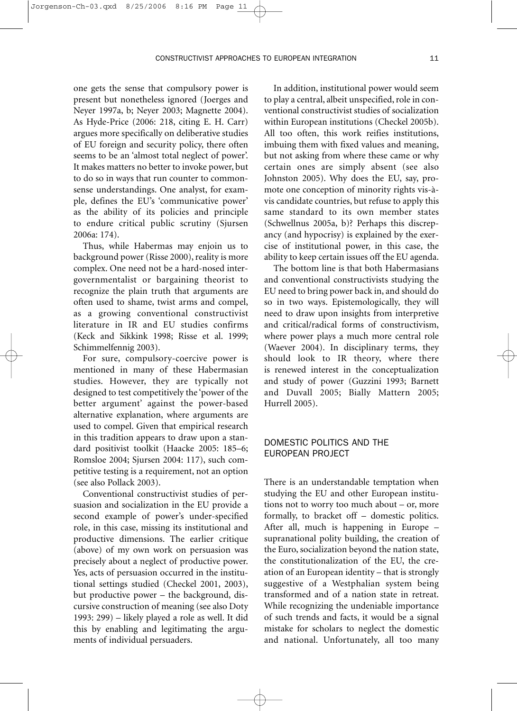one gets the sense that compulsory power is present but nonetheless ignored (Joerges and Neyer 1997a, b; Neyer 2003; Magnette 2004). As Hyde-Price (2006: 218, citing E. H. Carr) argues more specifically on deliberative studies of EU foreign and security policy, there often seems to be an 'almost total neglect of power'. It makes matters no better to invoke power, but to do so in ways that run counter to commonsense understandings. One analyst, for example, defines the EU's 'communicative power' as the ability of its policies and principle to endure critical public scrutiny (Sjursen 2006a: 174).

Jorgenson-Ch-03.gxd 8/25/2006

Thus, while Habermas may enjoin us to background power (Risse 2000), reality is more complex. One need not be a hard-nosed intergovernmentalist or bargaining theorist to recognize the plain truth that arguments are often used to shame, twist arms and compel, as a growing conventional constructivist literature in IR and EU studies confirms (Keck and Sikkink 1998; Risse et al. 1999; Schimmelfennig 2003).

For sure, compulsory-coercive power is mentioned in many of these Habermasian studies. However, they are typically not designed to test competitively the 'power of the better argument' against the power-based alternative explanation, where arguments are used to compel. Given that empirical research in this tradition appears to draw upon a standard positivist toolkit (Haacke 2005: 185–6; Romsloe 2004; Sjursen 2004: 117), such competitive testing is a requirement, not an option (see also Pollack 2003).

Conventional constructivist studies of persuasion and socialization in the EU provide a second example of power's under-specified role, in this case, missing its institutional and productive dimensions. The earlier critique (above) of my own work on persuasion was precisely about a neglect of productive power. Yes, acts of persuasion occurred in the institutional settings studied (Checkel 2001, 2003), but productive power – the background, discursive construction of meaning (see also Doty 1993: 299) – likely played a role as well. It did this by enabling and legitimating the arguments of individual persuaders.

In addition, institutional power would seem to play a central, albeit unspecified, role in conventional constructivist studies of socialization within European institutions (Checkel 2005b). All too often, this work reifies institutions, imbuing them with fixed values and meaning, but not asking from where these came or why certain ones are simply absent (see also Johnston 2005). Why does the EU, say, promote one conception of minority rights vis-àvis candidate countries, but refuse to apply this same standard to its own member states (Schwellnus 2005a, b)? Perhaps this discrepancy (and hypocrisy) is explained by the exercise of institutional power, in this case, the ability to keep certain issues off the EU agenda.

The bottom line is that both Habermasians and conventional constructivists studying the EU need to bring power back in, and should do so in two ways. Epistemologically, they will need to draw upon insights from interpretive and critical/radical forms of constructivism, where power plays a much more central role (Waever 2004). In disciplinary terms, they should look to IR theory, where there is renewed interest in the conceptualization and study of power (Guzzini 1993; Barnett and Duvall 2005; Bially Mattern 2005; Hurrell 2005).

# DOMESTIC POLITICS AND THE EUROPEAN PROJECT

There is an understandable temptation when studying the EU and other European institutions not to worry too much about – or, more formally, to bracket off – domestic politics. After all, much is happening in Europe – supranational polity building, the creation of the Euro, socialization beyond the nation state, the constitutionalization of the EU, the creation of an European identity – that is strongly suggestive of a Westphalian system being transformed and of a nation state in retreat. While recognizing the undeniable importance of such trends and facts, it would be a signal mistake for scholars to neglect the domestic and national. Unfortunately, all too many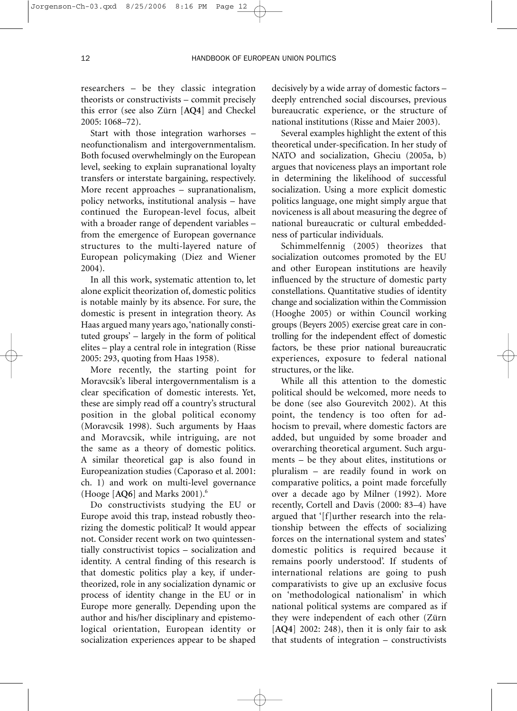researchers – be they classic integration theorists or constructivists – commit precisely this error (see also Zürn [**AQ4**] and Checkel 2005: 1068–72).

Start with those integration warhorses – neofunctionalism and intergovernmentalism. Both focused overwhelmingly on the European level, seeking to explain supranational loyalty transfers or interstate bargaining, respectively. More recent approaches – supranationalism, policy networks, institutional analysis – have continued the European-level focus, albeit with a broader range of dependent variables – from the emergence of European governance structures to the multi-layered nature of European policymaking (Diez and Wiener 2004).

In all this work, systematic attention to, let alone explicit theorization of, domestic politics is notable mainly by its absence. For sure, the domestic is present in integration theory. As Haas argued many years ago,'nationally constituted groups' – largely in the form of political elites – play a central role in integration (Risse 2005: 293, quoting from Haas 1958).

More recently, the starting point for Moravcsik's liberal intergovernmentalism is a clear specification of domestic interests. Yet, these are simply read off a country's structural position in the global political economy (Moravcsik 1998). Such arguments by Haas and Moravcsik, while intriguing, are not the same as a theory of domestic politics. A similar theoretical gap is also found in Europeanization studies (Caporaso et al. 2001: ch. 1) and work on multi-level governance (Hooge [**AQ6**] and Marks 2001).6

Do constructivists studying the EU or Europe avoid this trap, instead robustly theorizing the domestic political? It would appear not. Consider recent work on two quintessentially constructivist topics – socialization and identity. A central finding of this research is that domestic politics play a key, if undertheorized, role in any socialization dynamic or process of identity change in the EU or in Europe more generally. Depending upon the author and his/her disciplinary and epistemological orientation, European identity or socialization experiences appear to be shaped decisively by a wide array of domestic factors – deeply entrenched social discourses, previous bureaucratic experience, or the structure of national institutions (Risse and Maier 2003).

Several examples highlight the extent of this theoretical under-specification. In her study of NATO and socialization, Gheciu (2005a, b) argues that noviceness plays an important role in determining the likelihood of successful socialization. Using a more explicit domestic politics language, one might simply argue that noviceness is all about measuring the degree of national bureaucratic or cultural embeddedness of particular individuals.

Schimmelfennig (2005) theorizes that socialization outcomes promoted by the EU and other European institutions are heavily influenced by the structure of domestic party constellations. Quantitative studies of identity change and socialization within the Commission (Hooghe 2005) or within Council working groups (Beyers 2005) exercise great care in controlling for the independent effect of domestic factors, be these prior national bureaucratic experiences, exposure to federal national structures, or the like.

While all this attention to the domestic political should be welcomed, more needs to be done (see also Gourevitch 2002). At this point, the tendency is too often for adhocism to prevail, where domestic factors are added, but unguided by some broader and overarching theoretical argument. Such arguments – be they about elites, institutions or pluralism – are readily found in work on comparative politics, a point made forcefully over a decade ago by Milner (1992). More recently, Cortell and Davis (2000: 83–4) have argued that '[f]urther research into the relationship between the effects of socializing forces on the international system and states' domestic politics is required because it remains poorly understood'. If students of international relations are going to push comparativists to give up an exclusive focus on 'methodological nationalism' in which national political systems are compared as if they were independent of each other (Zürn [**AQ4**] 2002: 248), then it is only fair to ask that students of integration – constructivists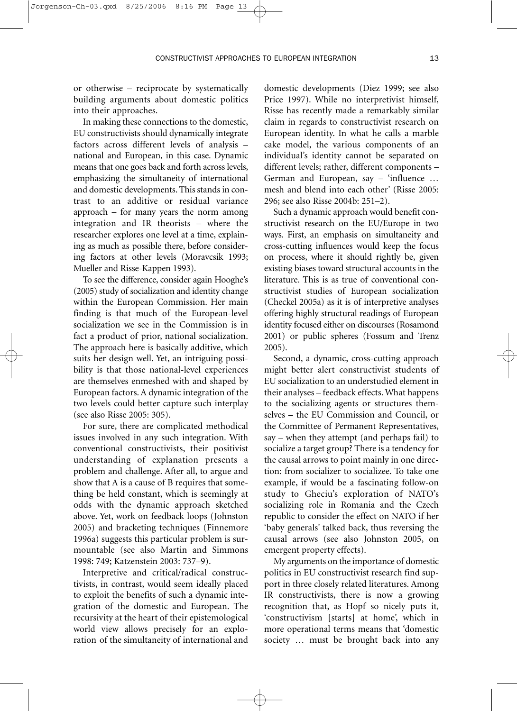or otherwise – reciprocate by systematically building arguments about domestic politics into their approaches.

Jorgenson-Ch-03.gxd 8/25/2006 8:16

In making these connections to the domestic, EU constructivists should dynamically integrate factors across different levels of analysis – national and European, in this case. Dynamic means that one goes back and forth across levels, emphasizing the simultaneity of international and domestic developments. This stands in contrast to an additive or residual variance approach – for many years the norm among integration and IR theorists – where the researcher explores one level at a time, explaining as much as possible there, before considering factors at other levels (Moravcsik 1993; Mueller and Risse-Kappen 1993).

To see the difference, consider again Hooghe's (2005) study of socialization and identity change within the European Commission. Her main finding is that much of the European-level socialization we see in the Commission is in fact a product of prior, national socialization. The approach here is basically additive, which suits her design well. Yet, an intriguing possibility is that those national-level experiences are themselves enmeshed with and shaped by European factors. A dynamic integration of the two levels could better capture such interplay (see also Risse 2005: 305).

For sure, there are complicated methodical issues involved in any such integration. With conventional constructivists, their positivist understanding of explanation presents a problem and challenge. After all, to argue and show that A is a cause of B requires that something be held constant, which is seemingly at odds with the dynamic approach sketched above. Yet, work on feedback loops (Johnston 2005) and bracketing techniques (Finnemore 1996a) suggests this particular problem is surmountable (see also Martin and Simmons 1998: 749; Katzenstein 2003: 737–9).

Interpretive and critical/radical constructivists, in contrast, would seem ideally placed to exploit the benefits of such a dynamic integration of the domestic and European. The recursivity at the heart of their epistemological world view allows precisely for an exploration of the simultaneity of international and domestic developments (Diez 1999; see also Price 1997). While no interpretivist himself, Risse has recently made a remarkably similar claim in regards to constructivist research on European identity. In what he calls a marble cake model, the various components of an individual's identity cannot be separated on different levels; rather, different components – German and European, say – 'influence … mesh and blend into each other' (Risse 2005: 296; see also Risse 2004b: 251–2).

Such a dynamic approach would benefit constructivist research on the EU/Europe in two ways. First, an emphasis on simultaneity and cross-cutting influences would keep the focus on process, where it should rightly be, given existing biases toward structural accounts in the literature. This is as true of conventional constructivist studies of European socialization (Checkel 2005a) as it is of interpretive analyses offering highly structural readings of European identity focused either on discourses (Rosamond 2001) or public spheres (Fossum and Trenz 2005).

Second, a dynamic, cross-cutting approach might better alert constructivist students of EU socialization to an understudied element in their analyses – feedback effects. What happens to the socializing agents or structures themselves – the EU Commission and Council, or the Committee of Permanent Representatives, say – when they attempt (and perhaps fail) to socialize a target group? There is a tendency for the causal arrows to point mainly in one direction: from socializer to socializee. To take one example, if would be a fascinating follow-on study to Gheciu's exploration of NATO's socializing role in Romania and the Czech republic to consider the effect on NATO if her 'baby generals' talked back, thus reversing the causal arrows (see also Johnston 2005, on emergent property effects).

My arguments on the importance of domestic politics in EU constructivist research find support in three closely related literatures. Among IR constructivists, there is now a growing recognition that, as Hopf so nicely puts it, 'constructivism [starts] at home', which in more operational terms means that 'domestic society … must be brought back into any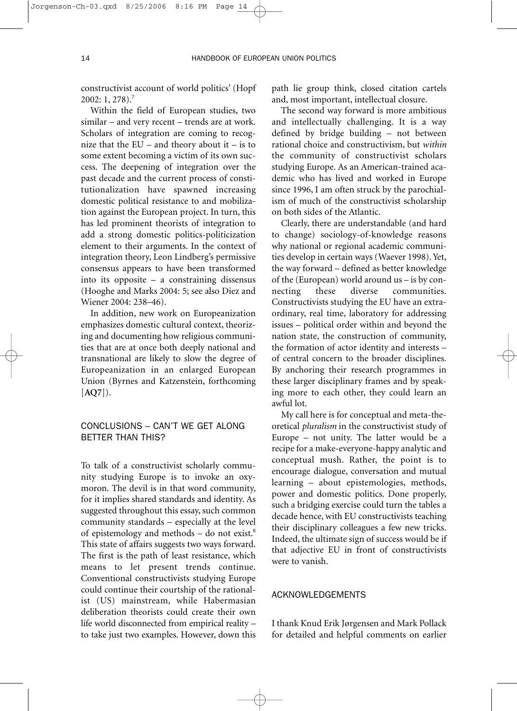constructivist account of world politics' (Hopf 2002: 1, 278).7

Within the field of European studies, two similar – and very recent – trends are at work. Scholars of integration are coming to recognize that the  $EU$  – and theory about it – is to some extent becoming a victim of its own success. The deepening of integration over the past decade and the current process of constitutionalization have spawned increasing domestic political resistance to and mobilization against the European project. In turn, this has led prominent theorists of integration to add a strong domestic politics-politicization element to their arguments. In the context of integration theory, Leon Lindberg's permissive consensus appears to have been transformed into its opposite – a constraining dissensus (Hooghe and Marks 2004: 5; see also Diez and Wiener 2004: 238–46).

In addition, new work on Europeanization emphasizes domestic cultural context, theorizing and documenting how religious communities that are at once both deeply national and transnational are likely to slow the degree of Europeanization in an enlarged European Union (Byrnes and Katzenstein, forthcoming [**AQ7**]).

# CONCLUSIONS – CAN'T WE GET ALONG BETTER THAN THIS?

To talk of a constructivist scholarly community studying Europe is to invoke an oxymoron. The devil is in that word community, for it implies shared standards and identity. As suggested throughout this essay, such common community standards – especially at the level of epistemology and methods  $-$  do not exist.<sup>8</sup> This state of affairs suggests two ways forward. The first is the path of least resistance, which means to let present trends continue. Conventional constructivists studying Europe could continue their courtship of the rationalist (US) mainstream, while Habermasian deliberation theorists could create their own life world disconnected from empirical reality – to take just two examples. However, down this path lie group think, closed citation cartels and, most important, intellectual closure.

The second way forward is more ambitious and intellectually challenging. It is a way defined by bridge building – not between rational choice and constructivism, but *within* the community of constructivist scholars studying Europe. As an American-trained academic who has lived and worked in Europe since 1996, I am often struck by the parochialism of much of the constructivist scholarship on both sides of the Atlantic.

Clearly, there are understandable (and hard to change) sociology-of-knowledge reasons why national or regional academic communities develop in certain ways (Waever 1998). Yet, the way forward – defined as better knowledge of the (European) world around us – is by connecting these diverse communities. Constructivists studying the EU have an extraordinary, real time, laboratory for addressing issues – political order within and beyond the nation state, the construction of community, the formation of actor identity and interests – of central concern to the broader disciplines. By anchoring their research programmes in these larger disciplinary frames and by speaking more to each other, they could learn an awful lot.

My call here is for conceptual and meta-theoretical *pluralism* in the constructivist study of Europe – not unity. The latter would be a recipe for a make-everyone-happy analytic and conceptual mush. Rather, the point is to encourage dialogue, conversation and mutual learning – about epistemologies, methods, power and domestic politics. Done properly, such a bridging exercise could turn the tables a decade hence, with EU constructivists teaching their disciplinary colleagues a few new tricks. Indeed, the ultimate sign of success would be if that adjective EU in front of constructivists were to vanish.

# ACKNOWLEDGEMENTS

I thank Knud Erik Jørgensen and Mark Pollack for detailed and helpful comments on earlier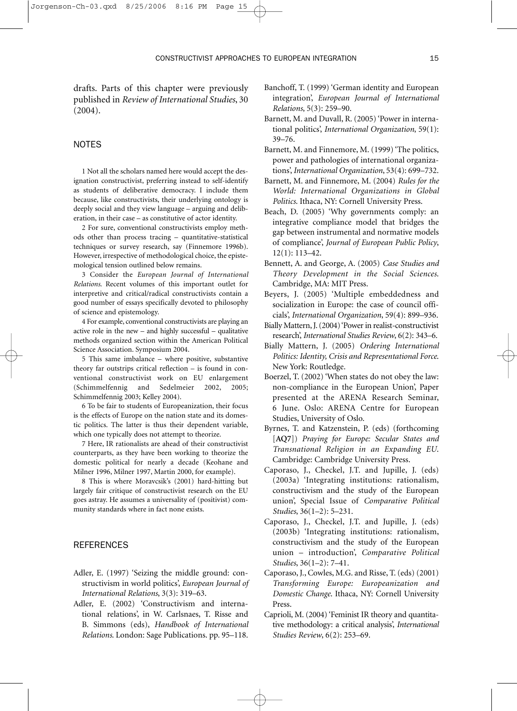drafts. Parts of this chapter were previously published in *Review of International Studies*, 30 (2004).

### NOTES

1 Not all the scholars named here would accept the designation constructivist, preferring instead to self-identify as students of deliberative democracy. I include them because, like constructivists, their underlying ontology is deeply social and they view language – arguing and deliberation, in their case – as constitutive of actor identity.

2 For sure, conventional constructivists employ methods other than process tracing – quantitative-statistical techniques or survey research, say (Finnemore 1996b). However, irrespective of methodological choice, the epistemological tension outlined below remains.

3 Consider the *European Journal of International Relations*. Recent volumes of this important outlet for interpretive and critical/radical constructivists contain a good number of essays specifically devoted to philosophy of science and epistemology.

4 For example, conventional constructivists are playing an active role in the new – and highly successful – qualitative methods organized section within the American Political Science Association. Symposium 2004.

5 This same imbalance – where positive, substantive theory far outstrips critical reflection – is found in conventional constructivist work on EU enlargement (Schimmelfennig and Sedelmeier 2002, 2005; Schimmelfennig 2003; Kelley 2004).

6 To be fair to students of Europeanization, their focus is the effects of Europe on the nation state and its domestic politics. The latter is thus their dependent variable, which one typically does not attempt to theorize.

7 Here, IR rationalists are ahead of their constructivist counterparts, as they have been working to theorize the domestic political for nearly a decade (Keohane and Milner 1996, Milner 1997, Martin 2000, for example).

8 This is where Moravcsik's (2001) hard-hitting but largely fair critique of constructivist research on the EU goes astray. He assumes a universality of (positivist) community standards where in fact none exists.

#### **REFERENCES**

- Adler, E. (1997) 'Seizing the middle ground: constructivism in world politics', *European Journal of International Relations*, 3(3): 319–63.
- Adler, E. (2002) 'Constructivism and international relations', in W. Carlsnaes, T. Risse and B. Simmons (eds), *Handbook of International Relations*. London: Sage Publications. pp. 95–118.
- Banchoff, T. (1999) 'German identity and European integration', *European Journal of International Relations*, 5(3): 259–90.
- Barnett, M. and Duvall, R. (2005) 'Power in international politics', *International Organization*, 59(1): 39–76.
- Barnett, M. and Finnemore, M. (1999) 'The politics, power and pathologies of international organizations', *International Organization*, 53(4): 699–732.
- Barnett, M. and Finnemore, M. (2004) *Rules for the World: International Organizations in Global Politics*. Ithaca, NY: Cornell University Press.
- Beach, D. (2005) 'Why governments comply: an integrative compliance model that bridges the gap between instrumental and normative models of compliance', *Journal of European Public Policy*, 12(1): 113–42.
- Bennett, A. and George, A. (2005) *Case Studies and Theory Development in the Social Sciences*. Cambridge, MA: MIT Press.
- Beyers, J. (2005) 'Multiple embeddedness and socialization in Europe: the case of council officials', *International Organization*, 59(4): 899–936.
- Bially Mattern, J. (2004) 'Power in realist-constructivist research', *International Studies Review*, 6(2): 343–6.
- Bially Mattern, J. (2005) *Ordering International Politics: Identity, Crisis and Representational Force*. New York: Routledge.
- Boerzel, T. (2002) 'When states do not obey the law: non-compliance in the European Union', Paper presented at the ARENA Research Seminar, 6 June. Oslo: ARENA Centre for European Studies, University of Oslo.
- Byrnes, T. and Katzenstein, P. (eds) (forthcoming [**AQ7**]) *Praying for Europe: Secular States and Transnational Religion in an Expanding EU*. Cambridge: Cambridge University Press.
- Caporaso, J., Checkel, J.T. and Jupille, J. (eds) (2003a) 'Integrating institutions: rationalism, constructivism and the study of the European union', Special Issue of *Comparative Political Studies*, 36(1–2): 5–231.
- Caporaso, J., Checkel, J.T. and Jupille, J. (eds) (2003b) 'Integrating institutions: rationalism, constructivism and the study of the European union – introduction', *Comparative Political Studies*, 36(1–2): 7–41.
- Caporaso, J., Cowles, M.G. and Risse, T. (eds) (2001) *Transforming Europe: Europeanization and Domestic Change*. Ithaca, NY: Cornell University Press.
- Caprioli, M. (2004) 'Feminist IR theory and quantitative methodology: a critical analysis', *International Studies Review*, 6(2): 253–69.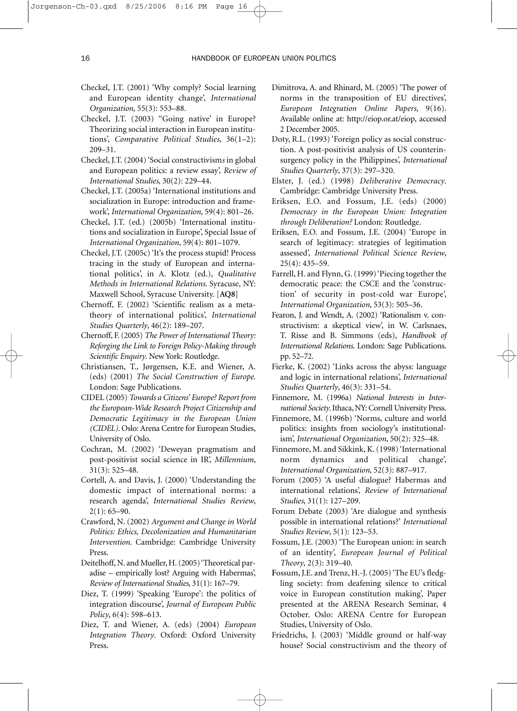- Checkel, J.T. (2001) 'Why comply? Social learning and European identity change', *International Organization*, 55(3): 553–88.
- Checkel, J.T. (2003) "Going native' in Europe? Theorizing social interaction in European institutions', *Comparative Political Studies*, 36(1–2): 209–31.
- Checkel, J.T. (2004) 'Social constructivism*s* in global and European politics: a review essay', *Review of International Studies*, 30(2): 229–44.
- Checkel, J.T. (2005a) 'International institutions and socialization in Europe: introduction and framework', *International Organization*, 59(4): 801–26.
- Checkel, J.T. (ed.) (2005b) 'International institutions and socialization in Europe', Special Issue of *International Organization*, 59(4): 801–1079.
- Checkel, J.T. (2005c) 'It's the process stupid! Process tracing in the study of European and international politics', in A. Klotz (ed.), *Qualitative Methods in International Relations*. Syracuse, NY: Maxwell School, Syracuse University. [**AQ8**]
- Chernoff, F. (2002) 'Scientific realism as a metatheory of international politics', *International Studies Quarterly*, 46(2): 189–207.
- Chernoff, F. (2005) *The Power of International Theory: Reforging the Link to Foreign Policy-Making through Scientific Enquiry*. New York: Routledge.
- Christiansen, T., Jørgensen, K.E. and Wiener, A. (eds) (2001) *The Social Construction of Europe.* London: Sage Publications.
- CIDEL (2005) *Towards a Citizens' Europe? Report from the European-Wide Research Project Citizenship and Democratic Legitimacy in the European Union (CIDEL)*. Oslo: Arena Centre for European Studies, University of Oslo.
- Cochran, M. (2002) 'Deweyan pragmatism and post-positivist social science in IR', *Millennium*, 31(3): 525–48.
- Cortell, A. and Davis, J. (2000) 'Understanding the domestic impact of international norms: a research agenda', *International Studies Review*,  $2(1): 65 - 90.$
- Crawford, N. (2002) *Argument and Change in World Politics: Ethics, Decolonization and Humanitarian Intervention*. Cambridge: Cambridge University Press.
- Deitelhoff, N. and Mueller, H. (2005) 'Theoretical paradise – empirically lost? Arguing with Habermas', *Review of International Studies*, 31(1): 167–79.
- Diez, T. (1999) 'Speaking 'Europe': the politics of integration discourse', *Journal of European Public Policy*, 6(4): 598–613.
- Diez, T. and Wiener, A. (eds) (2004) *European Integration Theory*. Oxford: Oxford University Press.
- Dimitrova, A. and Rhinard, M. (2005) 'The power of norms in the transposition of EU directives', *European Integration Online Papers*, 9(16). Available online at: http://eiop.or.at/eiop, accessed 2 December 2005.
- Doty, R.L. (1993) 'Foreign policy as social construction. A post-positivist analysis of US counterinsurgency policy in the Philippines', *International Studies Quarterly*, 37(3): 297–320.
- Elster, J. (ed.) (1998) *Deliberative Democracy*. Cambridge: Cambridge University Press.
- Eriksen, E.O. and Fossum, J.E. (eds) (2000) *Democracy in the European Union: Integration through Deliberation?* London: Routledge.
- Eriksen, E.O. and Fossum, J.E. (2004) 'Europe in search of legitimacy: strategies of legitimation assessed', *International Political Science Review*, 25(4): 435–59.
- Farrell, H. and Flynn, G. (1999) 'Piecing together the democratic peace: the CSCE and the 'construction' of security in post-cold war Europe', *International Organization*, 53(3): 505–36.
- Fearon, J. and Wendt, A. (2002) 'Rationalism v. constructivism: a skeptical view', in W. Carlsnaes, T. Risse and B. Simmons (eds), *Handbook of International Relations*. London: Sage Publications. pp. 52–72.
- Fierke, K. (2002) 'Links across the abyss: language and logic in international relations', *International Studies Quarterly*, 46(3): 331–54.
- Finnemore, M. (1996a) *National Interests in International Society*. Ithaca, NY: Cornell University Press.
- Finnemore, M. (1996b) 'Norms, culture and world politics: insights from sociology's institutionalism', *International Organization*, 50(2): 325–48.
- Finnemore, M. and Sikkink, K. (1998) 'International norm dynamics and political change', *International Organization*, 52(3): 887–917.
- Forum (2005) 'A useful dialogue? Habermas and international relations', *Review of International Studies*, 31(1): 127–209.
- Forum Debate (2003) 'Are dialogue and synthesis possible in international relations?' *International Studies Review*, 5(1): 123–53.
- Fossum, J.E. (2003) 'The European union: in search of an identity', *European Journal of Political Theory*, 2(3): 319–40.
- **F**ossum, J.E. and Trenz, H.-J. (2005) 'The EU's fledgling society: from deafening silence to critical voice in European constitution making', Paper presented at the ARENA Research Seminar, 4 October. Oslo: ARENA Centre for European Studies, University of Oslo.
- Friedrichs, J. (2003) 'Middle ground or half-way house? Social constructivism and the theory of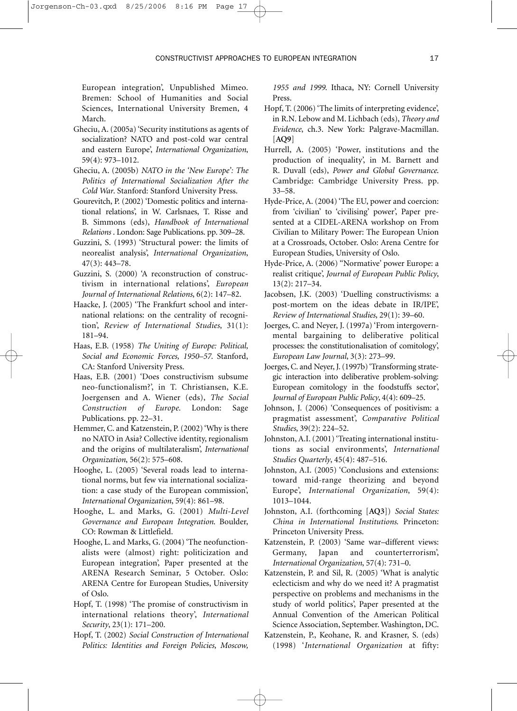CONSTRUCTIVIST APPROACHES TO EUROPEAN INTEGRATION 17

European integration', Unpublished Mimeo. Bremen: School of Humanities and Social Sciences, International University Bremen, 4 March.

- Gheciu, A. (2005a) 'Security institutions as agents of socialization? NATO and post-cold war central and eastern Europe', *International Organization*, 59(4): 973–1012.
- Gheciu, A. (2005b) *NATO in the 'New Europe': The Politics of International Socialization After the Cold War*. Stanford: Stanford University Press.
- Gourevitch, P. (2002) 'Domestic politics and international relations', in W. Carlsnaes, T. Risse and B. Simmons (eds), *Handbook of International Relations* . London: Sage Publications. pp. 309–28.
- Guzzini, S. (1993) 'Structural power: the limits of neorealist analysis', *International Organization*, 47(3): 443–78.
- Guzzini, S. (2000) 'A reconstruction of constructivism in international relations', *European Journal of International Relations*, 6(2): 147–82.
- Haacke, J. (2005) 'The Frankfurt school and international relations: on the centrality of recognition', *Review of International Studies*, 31(1): 181–94.
- Haas, E.B. (1958) *The Uniting of Europe: Political, Social and Economic Forces, 1950–57*. Stanford, CA: Stanford University Press.
- Haas, E.B. (2001) 'Does constructivism subsume neo-functionalism?', in T. Christiansen, K.E. Joergensen and A. Wiener (eds), *The Social Construction of Europe*. London: Sage Publications. pp. 22–31.
- Hemmer, C. and Katzenstein, P. (2002) 'Why is there no NATO in Asia? Collective identity, regionalism and the origins of multilateralism', *International Organization*, 56(2): 575–608.
- Hooghe, L. (2005) 'Several roads lead to international norms, but few via international socialization: a case study of the European commission', *International Organization*, 59(4): 861–98.
- Hooghe, L. and Marks, G. (2001) *Multi-Level Governance and European Integration*. Boulder, CO: Rowman & Littlefield.
- Hooghe, L. and Marks, G. (2004) 'The neofunctionalists were (almost) right: politicization and European integration', Paper presented at the ARENA Research Seminar, 5 October. Oslo: ARENA Centre for European Studies, University of Oslo.
- Hopf, T. (1998) 'The promise of constructivism in international relations theory', *International Security*, 23(1): 171–200.
- Hopf, T. (2002) *Social Construction of International Politics: Identities and Foreign Policies, Moscow,*

*1955 and 1999*. Ithaca, NY: Cornell University Press.

- Hopf, T. (2006) 'The limits of interpreting evidence', in R.N. Lebow and M. Lichbach (eds), *Theory and Evidence*, ch.3. New York: Palgrave-Macmillan. [**AQ9**]
- Hurrell, A. (2005) 'Power, institutions and the production of inequality', in M. Barnett and R. Duvall (eds), *Power and Global Governance*. Cambridge: Cambridge University Press. pp. 33–58.
- Hyde-Price, A. (2004) 'The EU, power and coercion: from 'civilian' to 'civilising' power', Paper presented at a CIDEL-ARENA workshop on From Civilian to Military Power: The European Union at a Crossroads, October. Oslo: Arena Centre for European Studies, University of Oslo.
- Hyde-Price, A. (2006) ''Normative' power Europe: a realist critique', *Journal of European Public Policy*, 13(2): 217–34.
- Jacobsen, J.K. (2003) 'Duelling constructivisms: a post-mortem on the ideas debate in IR/IPE', *Review of International Studies*, 29(1): 39–60.
- Joerges, C. and Neyer, J. (1997a) 'From intergovernmental bargaining to deliberative political processes: the constitutionalisation of comitology', *European Law Journal*, 3(3): 273–99.
- Joerges, C. and Neyer, J. (1997b) 'Transforming strategic interaction into deliberative problem-solving: European comitology in the foodstuffs sector', *Journal of European Public Policy*, 4(4): 609–25.
- Johnson, J. (2006) 'Consequences of positivism: a pragmatist assessment', *Comparative Political Studies*, 39(2): 224–52.
- Johnston, A.I. (2001) 'Treating international institutions as social environments', *International Studies Quarterly*, 45(4): 487–516.
- Johnston, A.I. (2005) 'Conclusions and extensions: toward mid-range theorizing and beyond Europe', *International Organization*, 59(4): 1013–1044.
- Johnston, A.I. (forthcoming [**AQ3**]) *Social States: China in International Institutions*. Princeton: Princeton University Press.
- Katzenstein, P. (2003) 'Same war–different views: Germany, Japan and counterterrorism', *International Organization*, 57(4): 731–0.
- Katzenstein, P. and Sil, R. (2005) 'What is analytic eclecticism and why do we need it? A pragmatist perspective on problems and mechanisms in the study of world politics', Paper presented at the Annual Convention of the American Political Science Association, September. Washington, DC.
- Katzenstein, P., Keohane, R. and Krasner, S. (eds) (1998) '*International Organization* at fifty: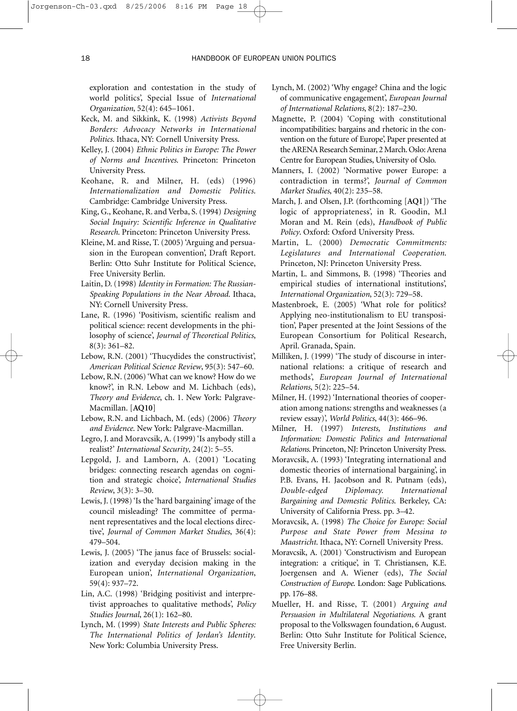exploration and contestation in the study of world politics', Special Issue of *International Organization*, 52(4): 645–1061.

- Keck, M. and Sikkink, K. (1998) *Activists Beyond Borders: Advocacy Networks in International Politics*. Ithaca, NY: Cornell University Press.
- Kelley, J. (2004) *Ethnic Politics in Europe: The Power of Norms and Incentives*. Princeton: Princeton University Press.
- Keohane, R. and Milner, H. (eds) (1996) *Internationalization and Domestic Politics*. Cambridge: Cambridge University Press.
- King, G., Keohane, R. and Verba, S. (1994) *Designing Social Inquiry: Scientific Inference in Qualitative Research*. Princeton: Princeton University Press.
- Kleine, M. and Risse, T. (2005) 'Arguing and persuasion in the European convention', Draft Report. Berlin: Otto Suhr Institute for Political Science, Free University Berlin.
- Laitin, D. (1998) *Identity in Formation: The Russian-Speaking Populations in the Near Abroad*. Ithaca, NY: Cornell University Press.
- Lane, R. (1996) 'Positivism, scientific realism and political science: recent developments in the philosophy of science', *Journal of Theoretical Politics*, 8(3): 361–82.
- Lebow, R.N. (2001) 'Thucydides the constructivist', *American Political Science Review*, 95(3): 547–60.
- Lebow, R.N. (2006) 'What can we know? How do we know?', in R.N. Lebow and M. Lichbach (eds), *Theory and Evidence*, ch. 1. New York: Palgrave-Macmillan. [**AQ10**]
- Lebow, R.N. and Lichbach, M. (eds) (2006) *Theory and Evidence*. New York: Palgrave-Macmillan.
- Legro, J. and Moravcsik, A. (1999) 'Is anybody still a realist?' *International Security*, 24(2): 5–55.
- Lepgold, J. and Lamborn, A. (2001) 'Locating bridges: connecting research agendas on cognition and strategic choice', *International Studies Review*, 3(3): 3–30.
- Lewis, J. (1998) 'Is the 'hard bargaining' image of the council misleading? The committee of permanent representatives and the local elections directive', *Journal of Common Market Studies*, 36(4): 479–504.
- Lewis, J. (2005) 'The janus face of Brussels: socialization and everyday decision making in the European union', *International Organization*, 59(4): 937–72.
- Lin, A.C. (1998) 'Bridging positivist and interpretivist approaches to qualitative methods', *Policy Studies Journal*, 26(1): 162–80.
- Lynch, M. (1999) *State Interests and Public Spheres: The International Politics of Jordan's Identity*. New York: Columbia University Press.
- Lynch, M. (2002) 'Why engage? China and the logic of communicative engagement', *European Journal of International Relations*, 8(2): 187–230.
- Magnette, P. (2004) 'Coping with constitutional incompatibilities: bargains and rhetoric in the convention on the future of Europe', Paper presented at the ARENA Research Seminar, 2 March. Oslo: Arena Centre for European Studies, University of Oslo.
- Manners, I. (2002) 'Normative power Europe: a contradiction in terms?', *Journal of Common Market Studies*, 40(2): 235–58.
- March, J. and Olsen, J.P. (forthcoming [**AQ1**]) 'The logic of appropriateness', in R. Goodin, M.l Moran and M. Rein (eds), *Handbook of Public Policy*. Oxford: Oxford University Press.
- Martin, L. (2000) *Democratic Commitments: Legislatures and International Cooperation*. Princeton, NJ: Princeton University Press.
- Martin, L. and Simmons, B. (1998) 'Theories and empirical studies of international institutions', *International Organization*, 52(3): 729–58.
- Mastenbroek, E. (2005) 'What role for politics? Applying neo-institutionalism to EU transposition', Paper presented at the Joint Sessions of the European Consortium for Political Research, April. Granada, Spain.
- Milliken, J. (1999) 'The study of discourse in international relations: a critique of research and methods', *European Journal of International Relations*, 5(2): 225–54.
- Milner, H. (1992) 'International theories of cooperation among nations: strengths and weaknesses (a review essay)', *World Politics*, 44(3): 466–96.
- Milner, H. (1997) *Interests, Institutions and Information: Domestic Politics and International Relations*. Princeton, NJ: Princeton University Press.
- Moravcsik, A. (1993) 'Integrating international and domestic theories of international bargaining', in P.B. Evans, H. Jacobson and R. Putnam (eds), *Double-edged Diplomacy. International Bargaining and Domestic Politics*. Berkeley, CA: University of California Press. pp. 3–42.
- Moravcsik, A. (1998) *The Choice for Europe: Social Purpose and State Power from Messina to Maastricht*. Ithaca, NY: Cornell University Press.
- Moravcsik, A. (2001) 'Constructivism and European integration: a critique', in T. Christiansen, K.E. Joergensen and A. Wiener (eds), *The Social Construction of Europe*. London: Sage Publications. pp. 176–88.
- Mueller, H. and Risse, T. (2001) *Arguing and Persuasion in Multilateral Negotiations*. A grant proposal to the Volkswagen foundation, 6 August. Berlin: Otto Suhr Institute for Political Science, Free University Berlin.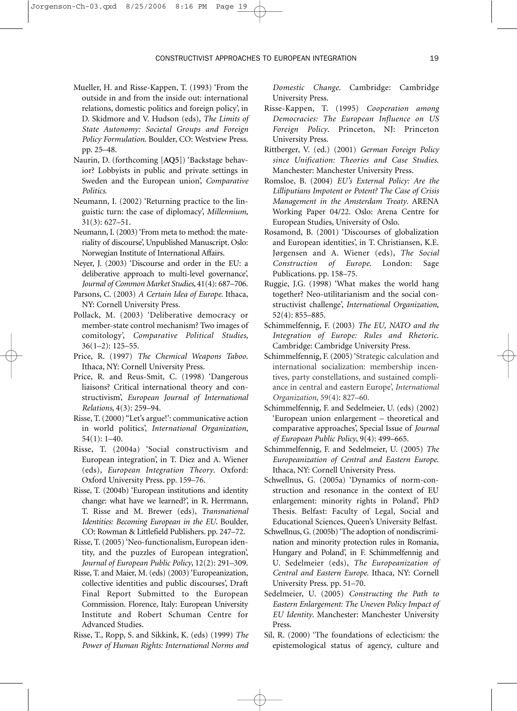CONSTRUCTIVIST APPROACHES TO EUROPEAN INTEGRATION 19

- Mueller, H. and Risse-Kappen, T. (1993) 'From the outside in and from the inside out: international relations, domestic politics and foreign policy', in D. Skidmore and V. Hudson (eds), *The Limits of State Autonomy: Societal Groups and Foreign Policy Formulation*. Boulder, CO: Westview Press. pp. 25–48.
- Naurin, D. (forthcoming [**AQ5**]) 'Backstage behavior? Lobbyists in public and private settings in Sweden and the European union', *Comparative Politics*.
- Neumann, I. (2002) 'Returning practice to the linguistic turn: the case of diplomacy', *Millennium*, 31(3): 627–51.
- Neumann, I. (2003) 'From meta to method: the materiality of discourse', Unpublished Manuscript. Oslo: Norwegian Institute of International Affairs.
- Neyer, J. (2003) 'Discourse and order in the EU: a deliberative approach to multi-level governance', *Journal of Common Market Studies*, 41(4): 687–706.
- Parsons, C. (2003) *A Certain Idea of Europe*. Ithaca, NY: Cornell University Press.
- Pollack, M. (2003) 'Deliberative democracy or member-state control mechanism? Two images of comitology', *Comparative Political Studies*, 36(1–2): 125–55.
- Price, R. (1997) *The Chemical Weapons Taboo*. Ithaca, NY: Cornell University Press.
- Price, R. and Reus-Smit, C. (1998) 'Dangerous liaisons? Critical international theory and constructivism', *European Journal of International Relations*, 4(3): 259–94.
- Risse, T. (2000) ''Let's argue!': communicative action in world politics', *International Organization*, 54(1): 1–40.
- Risse, T. (2004a) 'Social constructivism and European integration', in T. Diez and A. Wiener (eds), *European Integration Theory*. Oxford: Oxford University Press. pp. 159–76.
- Risse, T. (2004b) 'European institutions and identity change: what have we learned?', in R. Herrmann, T. Risse and M. Brewer (eds), *Transnational Identities: Becoming European in the EU*. Boulder, CO: Rowman & Littlefield Publishers. pp. 247–72.
- Risse, T. (2005) 'Neo-functionalism, European identity, and the puzzles of European integration', *Journal of European Public Policy*, 12(2): 291–309.
- Risse, T. and Maier, M. (eds) (2003) 'Europeanization, collective identities and public discourses', Draft Final Report Submitted to the European Commission. Florence, Italy: European University Institute and Robert Schuman Centre for Advanced Studies.
- Risse, T., Ropp, S. and Sikkink, K. (eds) (1999) *The Power of Human Rights: International Norms and*

*Domestic Change*. Cambridge: Cambridge University Press.

- Risse-Kappen, T. (1995) *Cooperation among Democracies: The European Influence on US Foreign Policy*. Princeton, NJ: Princeton University Press.
- Rittberger, V. (ed.) (2001) *German Foreign Policy since Unification: Theories and Case Studies*. Manchester: Manchester University Press.
- Romsloe, B. (2004) *EU's External Policy: Are the Lilliputians Impotent or Potent? The Case of Crisis Management in the Amsterdam Treaty*. ARENA Working Paper 04/22. Oslo: Arena Centre for European Studies, University of Oslo.
- Rosamond, B. (2001) 'Discourses of globalization and European identities', in T. Christiansen, K.E. Jørgensen and A. Wiener (eds), *The Social Construction of Europe*. London: Sage Publications. pp. 158–75.
- Ruggie, J.G. (1998) 'What makes the world hang together? Neo-utilitarianism and the social constructivist challenge', *International Organization*, 52(4): 855–885.
- Schimmelfennig, F. (2003) *The EU, NATO and the Integration of Europe: Rules and Rhetoric*. Cambridge: Cambridge University Press.
- Schimmelfennig, F. (2005) 'Strategic calculation and international socialization: membership incentives, party constellations, and sustained compliance in central and eastern Europe', *International Organization*, 59(4): 827–60.
- Schimmelfennig, F. and Sedelmeier, U. (eds) (2002) 'European union enlargement – theoretical and comparative approaches', Special Issue of *Journal of European Public Policy*, 9(4): 499–665.
- Schimmelfennig, F. and Sedelmeier, U. (2005) *The Europeanization of Central and Eastern Europe*. Ithaca, NY: Cornell University Press.
- Schwellnus, G. (2005a) 'Dynamics of norm-construction and resonance in the context of EU enlargement: minority rights in Poland', PhD Thesis. Belfast: Faculty of Legal, Social and Educational Sciences, Queen's University Belfast.
- Schwellnus, G. (2005b) 'The adoption of nondiscrimination and minority protection rules in Romania, Hungary and Poland', in F. Schimmelfennig and U. Sedelmeier (eds), *The Europeanization of Central and Eastern Europe*. Ithaca, NY: Cornell University Press. pp. 51–70.
- Sedelmeier, U. (2005) *Constructing the Path to Eastern Enlargement: The Uneven Policy Impact of EU Identity*. Manchester: Manchester University Press.
- Sil, R. (2000) 'The foundations of eclecticism: the epistemological status of agency, culture and